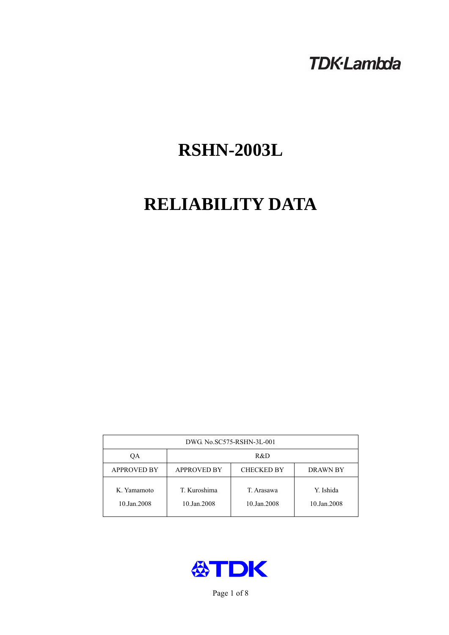# **TDK-Lambda**

# **RSHN-2003L**

# **RELIABILITY DATA**

| DWG. No.SC575-RSHN-3L-001  |                                                            |                           |                          |  |  |
|----------------------------|------------------------------------------------------------|---------------------------|--------------------------|--|--|
| ОA                         | R&D                                                        |                           |                          |  |  |
| <b>APPROVED BY</b>         | <b>APPROVED BY</b><br><b>CHECKED BY</b><br><b>DRAWN BY</b> |                           |                          |  |  |
| K. Yamamoto<br>10.Jan.2008 | T. Kuroshima<br>10.Jan.2008                                | T. Arasawa<br>10.Jan.2008 | Y. Ishida<br>10.Jan.2008 |  |  |



Page 1 of 8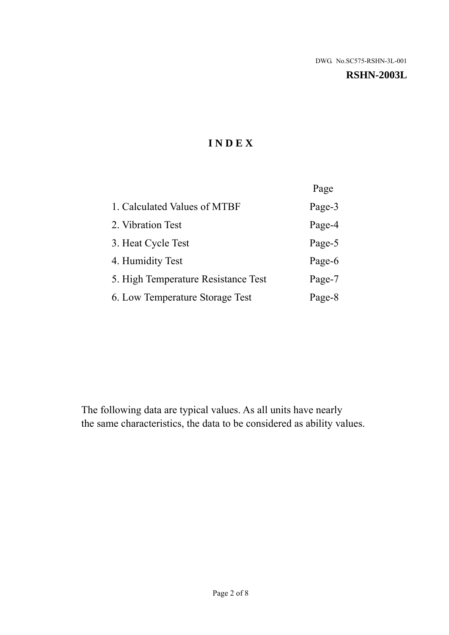#### **RSHN-2003L**

# **I N D E X**

|                                     | Page   |
|-------------------------------------|--------|
| 1. Calculated Values of MTBF        | Page-3 |
| 2. Vibration Test                   | Page-4 |
| 3. Heat Cycle Test                  | Page-5 |
| 4. Humidity Test                    | Page-6 |
| 5. High Temperature Resistance Test | Page-7 |
| 6. Low Temperature Storage Test     | Page-8 |

The following data are typical values. As all units have nearly the same characteristics, the data to be considered as ability values.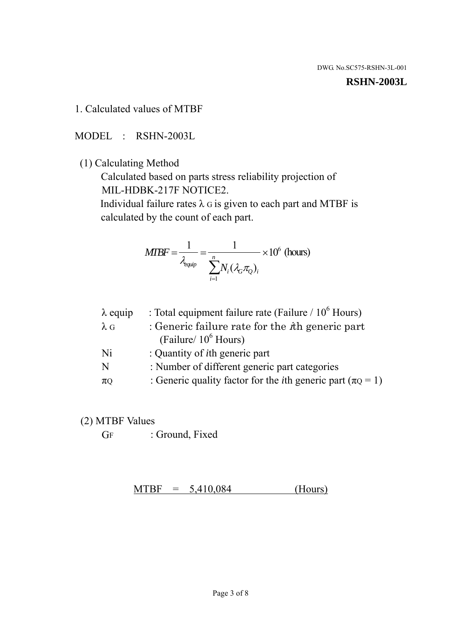#### **RSHN-2003L**

1. Calculated values of MTBF

MODEL : RSHN-2003L

(1) Calculating Method

 Calculated based on parts stress reliability projection of MIL-HDBK-217F NOTICE2.

Individual failure rates  $\lambda$  G is given to each part and MTBF is calculated by the count of each part.

$$
MTBF = \frac{1}{\lambda_{\text{equip}}} = \frac{1}{\sum_{i=1}^{n} N_i (\lambda_G \pi_Q)_i} \times 10^6 \text{ (hours)}
$$

| $\lambda$ equip | : Total equipment failure rate (Failure $/ 10^6$ Hours)                   |
|-----------------|---------------------------------------------------------------------------|
| $\lambda$ G     | : Generic failure rate for the $\hbar$ generic part                       |
|                 | (Failure/ $10^6$ Hours)                                                   |
| Ni              | : Quantity of <i>i</i> th generic part                                    |
| N               | : Number of different generic part categories                             |
| $\pi$ Q         | : Generic quality factor for the <i>i</i> th generic part ( $\pi Q = 1$ ) |

- (2) MTBF Values
	- GF : Ground, Fixed

 $MTBF = 5,410,084$  (Hours)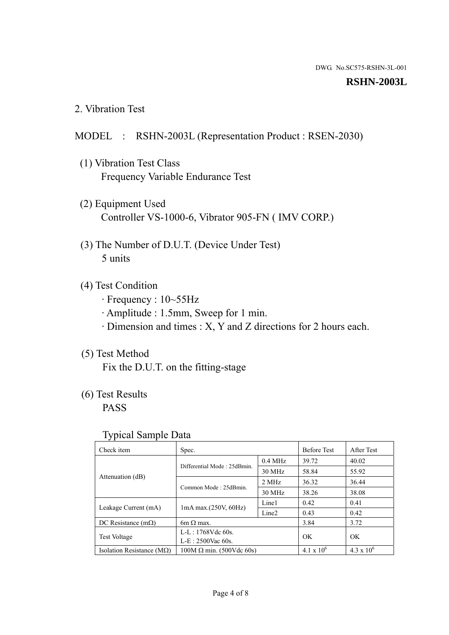#### **RSHN-2003L**

2. Vibration Test

#### MODEL : RSHN-2003L (Representation Product : RSEN-2030)

- (1) Vibration Test Class Frequency Variable Endurance Test
- (2) Equipment Used Controller VS-1000-6, Vibrator 905-FN ( IMV CORP.)
- (3) The Number of D.U.T. (Device Under Test) 5 units
- (4) Test Condition
	- · Frequency : 10~55Hz
	- · Amplitude : 1.5mm, Sweep for 1 min.
	- · Dimension and times : X, Y and Z directions for 2 hours each.

## (5) Test Method

Fix the D.U.T. on the fitting-stage

# (6) Test Results

PASS

#### Typical Sample Data

| . .                           |                                                         |           |                     |                     |
|-------------------------------|---------------------------------------------------------|-----------|---------------------|---------------------|
| Check item                    | Spec.                                                   |           | <b>Before Test</b>  | After Test          |
|                               | Differential Mode: 25dBmin.                             | $0.4$ MHz | 39.72               | 40.02               |
|                               |                                                         | 30 MHz    | 58.84               | 55.92               |
| Attenuation (dB)              | Common Mode: 25dBmin.                                   | 2 MHz     | 36.32               | 36.44               |
|                               |                                                         | 30 MHz    | 38.26               | 38.08               |
| Leakage Current (mA)          | Line1<br>$1mA$ max. $(250V, 60Hz)$<br>Line <sub>2</sub> |           | 0.42                | 0.41                |
|                               |                                                         |           | 0.43                | 0.42                |
| DC Resistance $(m\Omega)$     | 6m $\Omega$ max.                                        |           | 3.84                | 3.72                |
| <b>Test Voltage</b>           | $L-L: 1768Vdc$ 60s.                                     |           | OK                  | OK.                 |
|                               | $L-E$ : 2500Vac 60s.                                    |           |                     |                     |
| Isolation Resistance ( $MQ$ ) | $100M \Omega$ min. (500Vdc 60s)                         |           | $4.1 \times 10^{6}$ | $4.3 \times 10^{6}$ |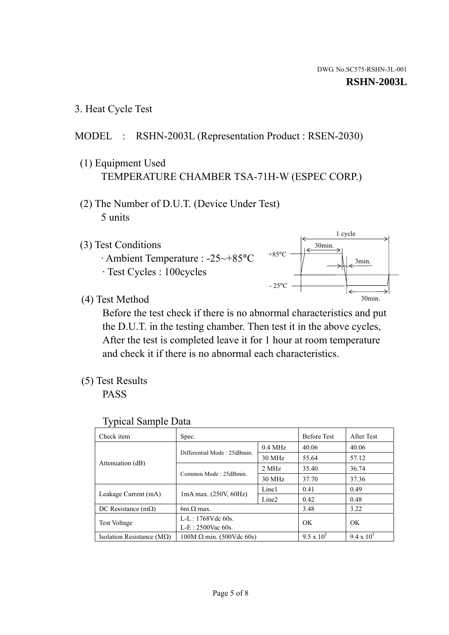3. Heat Cycle Test

## MODEL : RSHN-2003L (Representation Product : RSEN-2030)

- (1) Equipment Used TEMPERATURE CHAMBER TSA-71H-W (ESPEC CORP.)
- (2) The Number of D.U.T. (Device Under Test) 5 units
- (3) Test Conditions
	- · Ambient Temperature : -25~+85°C · Test Cycles : 100cycles



(4) Test Method

 Before the test check if there is no abnormal characteristics and put the D.U.T. in the testing chamber. Then test it in the above cycles, After the test is completed leave it for 1 hour at room temperature and check it if there is no abnormal each characteristics.

(5) Test Results

PASS

| <b>Typical Sample Data</b> |  |  |
|----------------------------|--|--|
|----------------------------|--|--|

| Check item                    | Spec.                                                   |           | <b>Before Test</b> | After Test        |
|-------------------------------|---------------------------------------------------------|-----------|--------------------|-------------------|
|                               |                                                         | $0.4$ MHz | 40.06              | 40.06             |
|                               | Differential Mode: 25dBmin.                             | 30 MHz    | 55.64              | 57.12             |
| Attenuation (dB)              | Common Mode: 25dBmin.                                   | 2 MHz     | 35.40              | 36.74             |
|                               |                                                         | 30 MHz    | 37.70              | 37.36             |
|                               | Line1<br>$1mA$ max. $(250V, 60Hz)$<br>Line <sub>2</sub> |           | 0.41               | 0.49              |
| Leakage Current (mA)          |                                                         |           | 0.42               | 0.48              |
| DC Resistance $(m\Omega)$     | $6m \Omega$ max.                                        |           | 3.48               | 3.22              |
|                               | L-L: $1768V$ de $60s$ .                                 |           | OK                 | OK                |
|                               | <b>Test Voltage</b><br>$L-E: 2500$ Vac 60s.             |           |                    |                   |
| Isolation Resistance ( $MQ$ ) | $100M \Omega$ min. (500Vdc 60s)                         |           | $9.5 \times 10^5$  | $9.4 \times 10^5$ |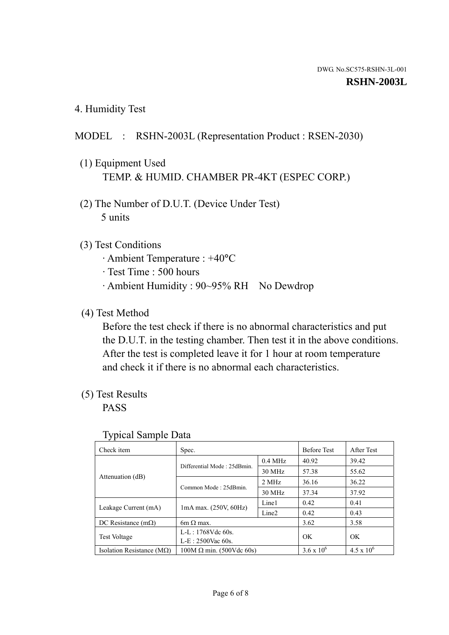4. Humidity Test

## MODEL : RSHN-2003L (Representation Product : RSEN-2030)

- (1) Equipment Used TEMP. & HUMID. CHAMBER PR-4KT (ESPEC CORP.)
- (2) The Number of D.U.T. (Device Under Test) 5 units

## (3) Test Conditions

- · Ambient Temperature : +40°C
- · Test Time : 500 hours
- · Ambient Humidity : 90~95% RH No Dewdrop

## (4) Test Method

 Before the test check if there is no abnormal characteristics and put the D.U.T. in the testing chamber. Then test it in the above conditions. After the test is completed leave it for 1 hour at room temperature and check it if there is no abnormal each characteristics.

## (5) Test Results

PASS

| . .                                |                                 |                   |                     |                     |
|------------------------------------|---------------------------------|-------------------|---------------------|---------------------|
| Check item                         | Spec.                           |                   | <b>Before Test</b>  | After Test          |
|                                    | Differential Mode: 25dBmin.     | $0.4$ MHz         | 40.92               | 39.42               |
|                                    |                                 | 30 MHz            | 57.38               | 55.62               |
| Attenuation (dB)                   | Common Mode: 25dBmin.           | 2 MHz             | 36.16               | 36.22               |
|                                    |                                 | 30 MHz            | 37.34               | 37.92               |
| Leakage Current (mA)               | $1mA$ max. $(250V, 60Hz)$       | Line1             | 0.42                | 0.41                |
|                                    |                                 | Line <sub>2</sub> | 0.42                | 0.43                |
| DC Resistance $(m\Omega)$          | $6m \Omega$ max.                |                   | 3.62                | 3.58                |
| <b>Test Voltage</b>                | $L-L: 1768Vdc$ 60s.             |                   | OK                  | OK                  |
|                                    | $L-E$ : 2500Vac 60s.            |                   |                     |                     |
| Isolation Resistance ( $M\Omega$ ) | $100M \Omega$ min. (500Vdc 60s) |                   | $3.6 \times 10^{6}$ | $4.5 \times 10^{6}$ |

#### Typical Sample Data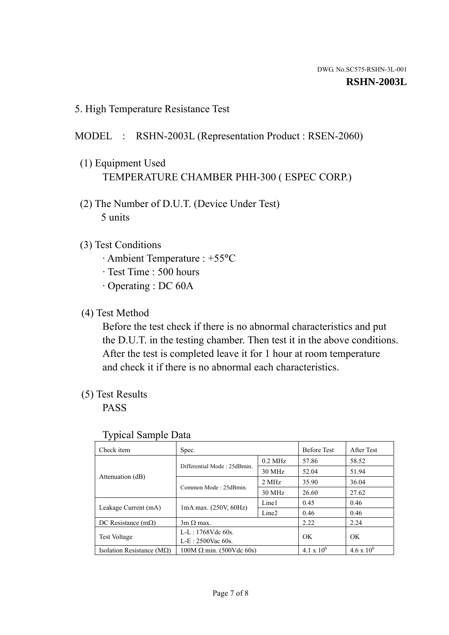5. High Temperature Resistance Test

#### MODEL : RSHN-2003L (Representation Product : RSEN-2060)

- (1) Equipment Used TEMPERATURE CHAMBER PHH-300 ( ESPEC CORP.)
- (2) The Number of D.U.T. (Device Under Test) 5 units
- (3) Test Conditions
	- · Ambient Temperature : +55°C
	- · Test Time : 500 hours
	- · Operating : DC 60A
- (4) Test Method

 Before the test check if there is no abnormal characteristics and put the D.U.T. in the testing chamber. Then test it in the above conditions. After the test is completed leave it for 1 hour at room temperature and check it if there is no abnormal each characteristics.

(5) Test Results

PASS

| ╯┸                                 |                                                         |           |                     |                     |
|------------------------------------|---------------------------------------------------------|-----------|---------------------|---------------------|
| Check item                         | Spec.                                                   |           | <b>Before Test</b>  | After Test          |
|                                    | Differential Mode: 25dBmin.                             | $0.2$ MHz | 57.86               | 58.52               |
|                                    |                                                         | 30 MHz    | 52.04               | 51.94               |
| Attenuation (dB)                   | Common Mode: 25dBmin.                                   | 2 MHz     | 35.90               | 36.04               |
|                                    |                                                         | 30 MHz    | 26.60               | 27.62               |
| Leakage Current (mA)               | Line1<br>$1mA$ max. $(250V, 60Hz)$<br>Line <sub>2</sub> |           | 0.45                | 0.46                |
|                                    |                                                         |           | 0.46                | 0.46                |
| DC Resistance $(m\Omega)$          | $3m \Omega$ max.                                        |           | 2.22                | 2.24                |
| <b>Test Voltage</b>                | $L-L: 1768Vdc$ 60s.                                     |           | OK                  | OK                  |
|                                    | $L-E: 2500$ Vac 60s.                                    |           |                     |                     |
| Isolation Resistance ( $M\Omega$ ) | $100M \Omega$ min. (500Vdc 60s)                         |           | $4.1 \times 10^{6}$ | $4.6 \times 10^{6}$ |

#### Typical Sample Data